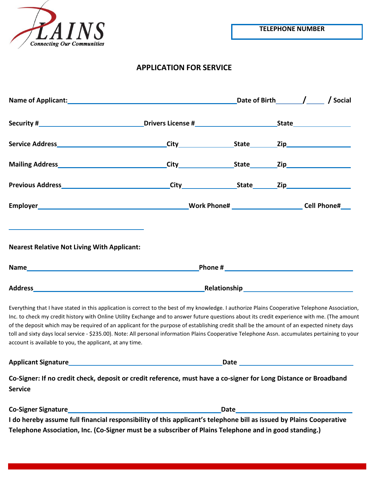

**TELEPHONE NUMBER**

# **APPLICATION FOR SERVICE**

|                                                                                                                                                                                                                                                                                                                                                                                                                                                                                                                                                                                                                                                              |                     | Date of Birth / / Social                                                                                                                                                                                                           |
|--------------------------------------------------------------------------------------------------------------------------------------------------------------------------------------------------------------------------------------------------------------------------------------------------------------------------------------------------------------------------------------------------------------------------------------------------------------------------------------------------------------------------------------------------------------------------------------------------------------------------------------------------------------|---------------------|------------------------------------------------------------------------------------------------------------------------------------------------------------------------------------------------------------------------------------|
|                                                                                                                                                                                                                                                                                                                                                                                                                                                                                                                                                                                                                                                              |                     |                                                                                                                                                                                                                                    |
|                                                                                                                                                                                                                                                                                                                                                                                                                                                                                                                                                                                                                                                              | City State Zip City |                                                                                                                                                                                                                                    |
|                                                                                                                                                                                                                                                                                                                                                                                                                                                                                                                                                                                                                                                              |                     |                                                                                                                                                                                                                                    |
|                                                                                                                                                                                                                                                                                                                                                                                                                                                                                                                                                                                                                                                              |                     |                                                                                                                                                                                                                                    |
|                                                                                                                                                                                                                                                                                                                                                                                                                                                                                                                                                                                                                                                              |                     |                                                                                                                                                                                                                                    |
| <b>Nearest Relative Not Living With Applicant:</b>                                                                                                                                                                                                                                                                                                                                                                                                                                                                                                                                                                                                           |                     |                                                                                                                                                                                                                                    |
| Address and the contract of the contract of the contract of the contract of the contract of the contract of the contract of the contract of the contract of the contract of the contract of the contract of the contract of th                                                                                                                                                                                                                                                                                                                                                                                                                               |                     |                                                                                                                                                                                                                                    |
| Everything that I have stated in this application is correct to the best of my knowledge. I authorize Plains Cooperative Telephone Association,<br>Inc. to check my credit history with Online Utility Exchange and to answer future questions about its credit experience with me. (The amount<br>of the deposit which may be required of an applicant for the purpose of establishing credit shall be the amount of an expected ninety days<br>toll and sixty days local service - \$235.00). Note: All personal information Plains Cooperative Telephone Assn. accumulates pertaining to your<br>account is available to you, the applicant, at any time. |                     |                                                                                                                                                                                                                                    |
|                                                                                                                                                                                                                                                                                                                                                                                                                                                                                                                                                                                                                                                              |                     | Date <b>Date Contract Contract Contract Contract Contract Contract Contract Contract Contract Contract Contract Contract Contract Contract Contract Contract Contract Contract Contract Contract Contract Contract Contract Co</b> |

**Co-Signer: If no credit check, deposit or credit reference, must have a co-signer for Long Distance or Broadband Service**

| <b>Co-Signer Signature</b>                                                                                          | Date |
|---------------------------------------------------------------------------------------------------------------------|------|
| I do hereby assume full financial responsibility of this applicant's telephone bill as issued by Plains Cooperative |      |
| Telephone Association, Inc. (Co-Signer must be a subscriber of Plains Telephone and in good standing.)              |      |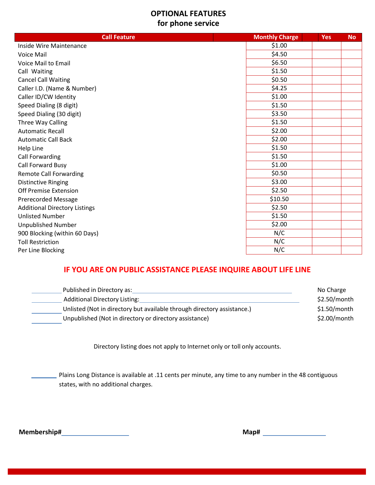## **OPTIONAL FEATURES for phone service**

| <b>Call Feature</b>                  | <b>Monthly Charge</b> | Yes | <b>No</b> |
|--------------------------------------|-----------------------|-----|-----------|
| Inside Wire Maintenance              | \$1.00                |     |           |
| Voice Mail                           | \$4.50                |     |           |
| <b>Voice Mail to Email</b>           | \$6.50                |     |           |
| Call Waiting                         | \$1.50                |     |           |
| <b>Cancel Call Waiting</b>           | \$0.50                |     |           |
| Caller I.D. (Name & Number)          | \$4.25                |     |           |
| Caller ID/CW Identity                | \$1.00                |     |           |
| Speed Dialing (8 digit)              | \$1.50                |     |           |
| Speed Dialing (30 digit)             | \$3.50                |     |           |
| Three Way Calling                    | \$1.50                |     |           |
| <b>Automatic Recall</b>              | \$2.00                |     |           |
| <b>Automatic Call Back</b>           | \$2.00                |     |           |
| Help Line                            | \$1.50                |     |           |
| Call Forwarding                      | \$1.50                |     |           |
| Call Forward Busy                    | \$1.00                |     |           |
| <b>Remote Call Forwarding</b>        | \$0.50                |     |           |
| <b>Distinctive Ringing</b>           | \$3.00                |     |           |
| Off Premise Extension                | \$2.50                |     |           |
| <b>Prerecorded Message</b>           | \$10.50               |     |           |
| <b>Additional Directory Listings</b> | \$2.50                |     |           |
| <b>Unlisted Number</b>               | \$1.50                |     |           |
| <b>Unpublished Number</b>            | \$2.00                |     |           |
| 900 Blocking (within 60 Days)        | N/C                   |     |           |
| <b>Toll Restriction</b>              | N/C                   |     |           |
| Per Line Blocking                    | N/C                   |     |           |

# **IF YOU ARE ON PUBLIC ASSISTANCE PLEASE INQUIRE ABOUT LIFE LINE**

| Published in Directory as:                                              | No Charge      |
|-------------------------------------------------------------------------|----------------|
| <b>Additional Directory Listing:</b>                                    | $$2.50/m$ onth |
| Unlisted (Not in directory but available through directory assistance.) | $$1.50/m$ onth |
| Unpublished (Not in directory or directory assistance)                  | $$2.00/m$ onth |

Directory listing does not apply to Internet only or toll only accounts.

Plains Long Distance is available at .11 cents per minute, any time to any number in the 48 contiguous states, with no additional charges.

**Membership# Map#**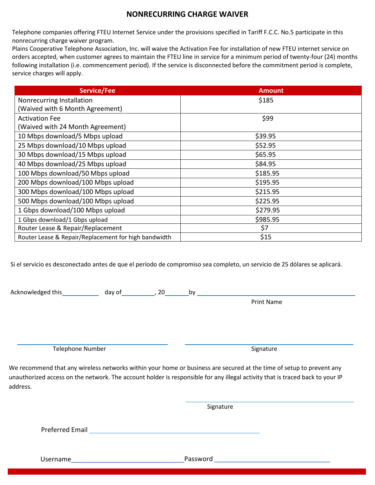## **NONRECURRING CHARGE WAIVER**

Telephone companies offering FTEU Internet Service under the provisions specified in Tariff F.C.C. No.5 participate in this nonrecurring charge waiver program.

Plains Cooperative Telephone Association, Inc. will waive the Activation Fee for installation of new FTEU internet service on orders accepted, when customer agrees to maintain the FTEU line in service for a minimum period of twenty-four (24) months following installation (i.e. commencement period). If the service is disconnected before the commitment period is complete, service charges will apply.

| <b>Service/Fee</b>                                   | <b>Amount</b> |
|------------------------------------------------------|---------------|
| Nonrecurring Installation                            | \$185         |
| (Waived with 6 Month Agreement)                      |               |
| <b>Activation Fee</b>                                | \$99          |
| (Waived with 24 Month Agreement)                     |               |
| 10 Mbps download/5 Mbps upload                       | \$39.95       |
| 25 Mbps download/10 Mbps upload                      | \$52.95       |
| 30 Mbps download/15 Mbps upload                      | \$65.95       |
| 40 Mbps download/25 Mbps upload                      | \$84.95       |
| 100 Mbps download/50 Mbps upload                     | \$185.95      |
| 200 Mbps download/100 Mbps upload                    | \$195.95      |
| 300 Mbps download/100 Mbps upload                    | \$215.95      |
| 500 Mbps download/100 Mbps upload                    | \$225.95      |
| 1 Gbps download/100 Mbps upload                      | \$279.95      |
| 1 Gbps download/1 Gbps upload                        | \$985.95      |
| Router Lease & Repair/Replacement                    | \$7           |
| Router Lease & Repair/Replacement for high bandwidth | \$15          |

Si el servicio es desconectado antes de que el período de compromiso sea completo, un servicio de 25 dólares se aplicará.

Acknowledged this day of the control of the set of the control of the set of the control of the control of the  $\alpha$ 

Print Name

Telephone Number Signature Signature Signature

We recommend that any wireless networks within your home or business are secured at the time of setup to prevent any unauthorized access on the network. The account holder is responsible for any illegal activity that is traced back to your IP address.

Signature

Preferred Email

Username Password Password